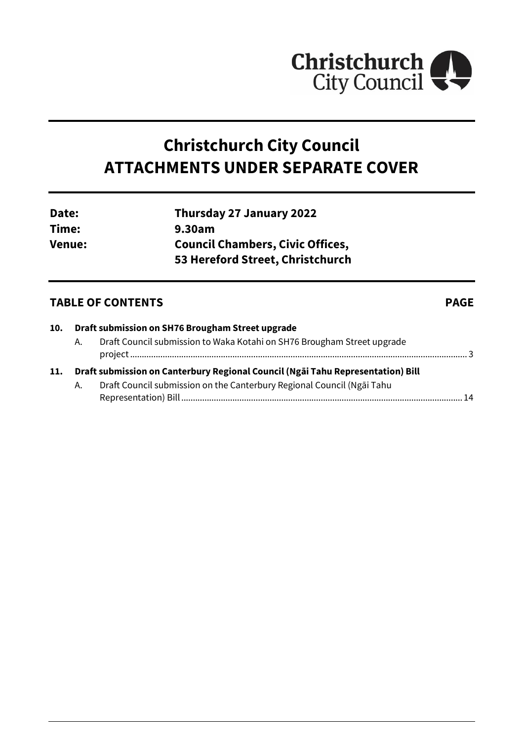

# **Christchurch City Council ATTACHMENTS UNDER SEPARATE COVER**

| Date:  | Thursday 27 January 2022                |
|--------|-----------------------------------------|
| Time:  | 9.30am                                  |
| Venue: | <b>Council Chambers, Civic Offices,</b> |
|        | 53 Hereford Street, Christchurch        |

# **TABLE OF CONTENTS PAGE**

| 10. |    | Draft submission on SH76 Brougham Street upgrade                                |    |
|-----|----|---------------------------------------------------------------------------------|----|
|     | А. | Draft Council submission to Waka Kotahi on SH76 Brougham Street upgrade         |    |
| 11. |    | Draft submission on Canterbury Regional Council (Ngai Tahu Representation) Bill |    |
|     | А. | Draft Council submission on the Canterbury Regional Council (Ngai Tahu          | 14 |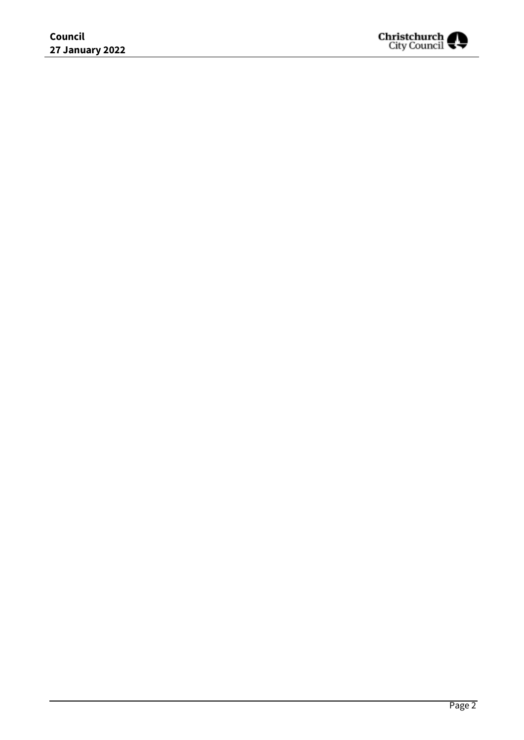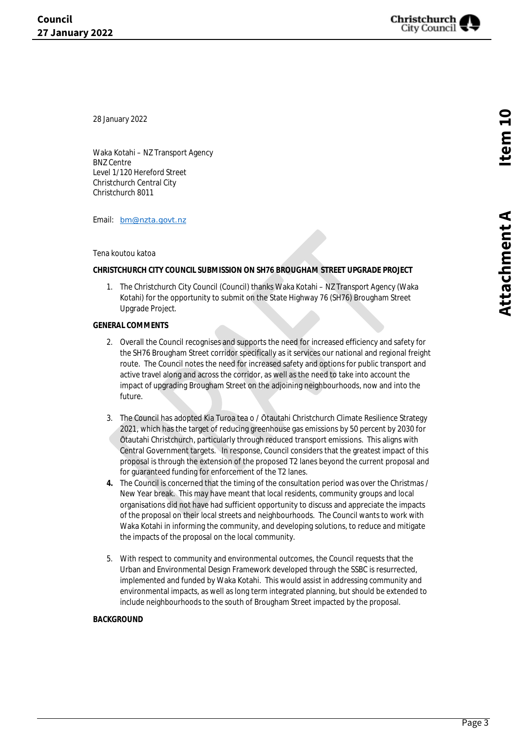<span id="page-2-0"></span>28 January 2022

Waka Kotahi – NZ Transport Agency BNZ Centre Level 1/120 Hereford Street Christchurch Central City Christchurch 8011

Email: bm@nzta.govt.nz

#### Tena koutou katoa

#### **CHRISTCHURCH CITY COUNCIL SUBMISSION ON SH76 BROUGHAM STREET UPGRADE PROJECT**

1. The Christchurch City Council (Council) thanks Waka Kotahi – NZ Transport Agency (Waka Kotahi) for the opportunity to submit on the State Highway 76 (SH76) Brougham Street Upgrade Project.

#### **GENERAL COMMENTS**

- 2. Overall the Council recognises and supports the need for increased efficiency and safety for the SH76 Brougham Street corridor specifically as it services our national and regional freight route. The Council notes the need for increased safety and options for public transport and active travel along and across the corridor, as well as the need to take into account the impact of upgrading Brougham Street on the adjoining neighbourhoods, now and into the future.
- 3. The Council has adopted Kia Turoa tea o / Ōtautahi Christchurch Climate Resilience Strategy 2021, which has the target of reducing greenhouse gas emissions by 50 percent by 2030 for Ōtautahi Christchurch, particularly through reduced transport emissions. This aligns with Central Government targets. In response, Council considers that the greatest impact of this proposal is through the extension of the proposed T2 lanes beyond the current proposal and for guaranteed funding for enforcement of the T2 lanes.
- **4.** The Council is concerned that the timing of the consultation period was over the Christmas / New Year break. This may have meant that local residents, community groups and local organisations did not have had sufficient opportunity to discuss and appreciate the impacts of the proposal on their local streets and neighbourhoods. The Council wants to work with Waka Kotahi in informing the community, and developing solutions, to reduce and mitigate the impacts of the proposal on the local community.
- 5. With respect to community and environmental outcomes, the Council requests that the Urban and Environmental Design Framework developed through the SSBC is resurrected, implemented and funded by Waka Kotahi. This would assist in addressing community and environmental impacts, as well as long term integrated planning, but should be extended to include neighbourhoods to the south of Brougham Street impacted by the proposal.

#### **BACKGROUND**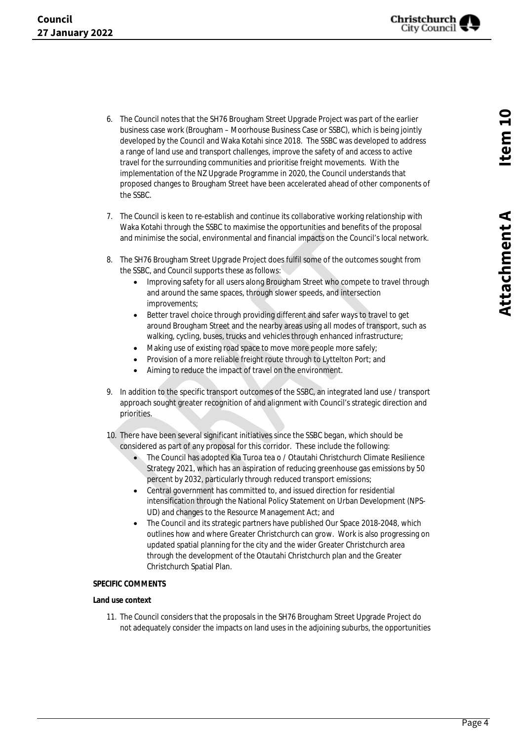Christchurch City Council

- 6. The Council notes that the SH76 Brougham Street Upgrade Project was part of the earlier business case work (Brougham – Moorhouse Business Case or SSBC), which is being jointly developed by the Council and Waka Kotahi since 2018. The SSBC was developed to address a range of land use and transport challenges, improve the safety of and access to active travel for the surrounding communities and prioritise freight movements. With the implementation of the NZ Upgrade Programme in 2020, the Council understands that proposed changes to Brougham Street have been accelerated ahead of other components of the SSBC.
- 7. The Council is keen to re-establish and continue its collaborative working relationship with Waka Kotahi through the SSBC to maximise the opportunities and benefits of the proposal and minimise the social, environmental and financial impacts on the Council's local network.
- 8. The SH76 Brougham Street Upgrade Project does fulfil some of the outcomes sought from the SSBC, and Council supports these as follows:
	- Improving safety for all users along Brougham Street who compete to travel through and around the same spaces, through slower speeds, and intersection improvements;
	- Better travel choice through providing different and safer ways to travel to get around Brougham Street and the nearby areas using all modes of transport, such as walking, cycling, buses, trucks and vehicles through enhanced infrastructure;
	- Making use of existing road space to move more people more safely:
	- Provision of a more reliable freight route through to Lyttelton Port; and
	- Aiming to reduce the impact of travel on the environment.
- 9. In addition to the specific transport outcomes of the SSBC, an integrated land use / transport approach sought greater recognition of and alignment with Council's strategic direction and priorities.
- 10. There have been several significant initiatives since the SSBC began, which should be considered as part of any proposal for this corridor. These include the following:
	- The Council has adopted Kia Turoa tea o / Otautahi Christchurch Climate Resilience Strategy 2021, which has an aspiration of reducing greenhouse gas emissions by 50 percent by 2032, particularly through reduced transport emissions;
	- Central government has committed to, and issued direction for residential intensification through the National Policy Statement on Urban Development (NPS-UD) and changes to the Resource Management Act; and
	- The Council and its strategic partners have published Our Space 2018-2048, which outlines how and where Greater Christchurch can grow. Work is also progressing on updated spatial planning for the city and the wider Greater Christchurch area through the development of the Otautahi Christchurch plan and the Greater Christchurch Spatial Plan.

### **SPECIFIC COMMENTS**

### **Land use context**

11. The Council considers that the proposals in the SH76 Brougham Street Upgrade Project do not adequately consider the impacts on land uses in the adjoining suburbs, the opportunities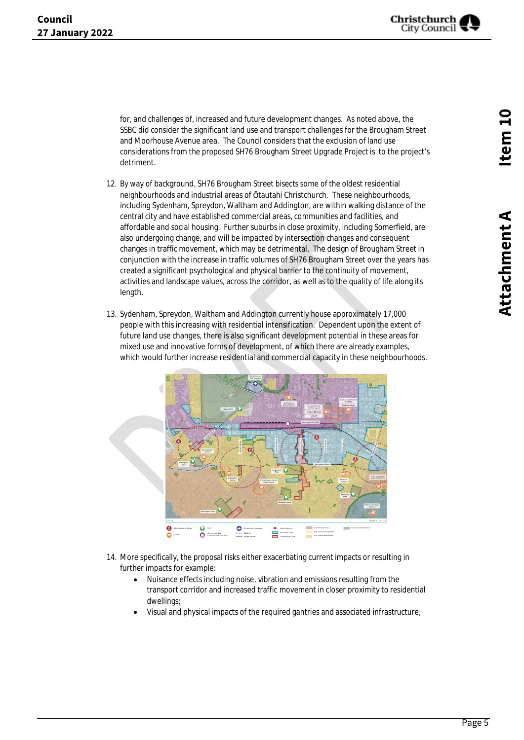for, and challenges of, increased and future development changes. As noted above, the SSBC did consider the significant land use and transport challenges for the Brougham Street and Moorhouse Avenue area. The Council considers that the exclusion of land use considerations from the proposed SH76 Brougham Street Upgrade Project is to the project's detriment.

- 12. By way of background, SH76 Brougham Street bisects some of the oldest residential neighbourhoods and industrial areas of Ōtautahi Christchurch. These neighbourhoods, including Sydenham, Spreydon, Waltham and Addington, are within walking distance of the central city and have established commercial areas, communities and facilities, and affordable and social housing. Further suburbs in close proximity, including Somerfield, are also undergoing change, and will be impacted by intersection changes and consequent changes in traffic movement, which may be detrimental. The design of Brougham Street in conjunction with the increase in traffic volumes of SH76 Brougham Street over the years has created a significant psychological and physical barrier to the continuity of movement, activities and landscape values, across the corridor, as well as to the quality of life along its length.
- 13. Sydenham, Spreydon, Waltham and Addington currently house approximately 17,000 people with this increasing with residential intensification. Dependent upon the extent of future land use changes, there is also significant development potential in these areas for mixed use and innovative forms of development, of which there are already examples, which would further increase residential and commercial capacity in these neighbourhoods.



- 14. More specifically, the proposal risks either exacerbating current impacts or resulting in further impacts for example:
	- Nuisance effects including noise, vibration and emissions resulting from the transport corridor and increased traffic movement in closer proximity to residential dwellings;
	- Visual and physical impacts of the required gantries and associated infrastructure;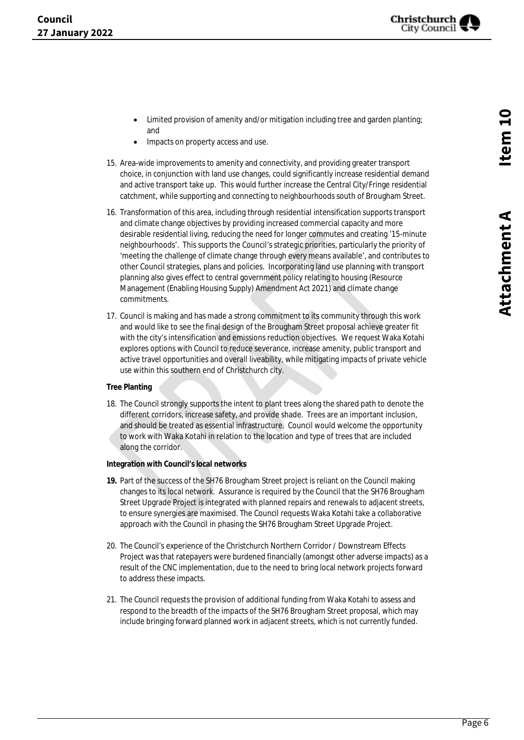- Limited provision of amenity and/or mitigation including tree and garden planting; and
- Impacts on property access and use.
- 15. Area-wide improvements to amenity and connectivity, and providing greater transport choice, in conjunction with land use changes, could significantly increase residential demand and active transport take up. This would further increase the Central City/Fringe residential catchment, while supporting and connecting to neighbourhoods south of Brougham Street.
- 16. Transformation of this area, including through residential intensification supports transport and climate change objectives by providing increased commercial capacity and more desirable residential living, reducing the need for longer commutes and creating '15-minute neighbourhoods'. This supports the Council's strategic priorities, particularly the priority of 'meeting the challenge of climate change through every means available', and contributes to other Council strategies, plans and policies. Incorporating land use planning with transport planning also gives effect to central government policy relating to housing (Resource Management (Enabling Housing Supply) Amendment Act 2021) and climate change commitments.
- 17. Council is making and has made a strong commitment to its community through this work and would like to see the final design of the Brougham Street proposal achieve greater fit with the city's intensification and emissions reduction objectives. We request Waka Kotahi explores options with Council to reduce severance, increase amenity, public transport and active travel opportunities and overall liveability, while mitigating impacts of private vehicle use within this southern end of Christchurch city.

### **Tree Planting**

18. The Council strongly supports the intent to plant trees along the shared path to denote the different corridors, increase safety, and provide shade. Trees are an important inclusion, and should be treated as essential infrastructure. Council would welcome the opportunity to work with Waka Kotahi in relation to the location and type of trees that are included along the corridor.

#### **Integration with Council's local networks**

- **19.** Part of the success of the SH76 Brougham Street project is reliant on the Council making changes to its local network. Assurance is required by the Council that the SH76 Brougham Street Upgrade Project is integrated with planned repairs and renewals to adjacent streets, to ensure synergies are maximised. The Council requests Waka Kotahi take a collaborative approach with the Council in phasing the SH76 Brougham Street Upgrade Project.
- 20. The Council's experience of the Christchurch Northern Corridor / Downstream Effects Project was that ratepayers were burdened financially (amongst other adverse impacts) as a result of the CNC implementation, due to the need to bring local network projects forward to address these impacts.
- 21. The Council requests the provision of additional funding from Waka Kotahi to assess and respond to the breadth of the impacts of the SH76 Brougham Street proposal, which may include bringing forward planned work in adjacent streets, which is not currently funded.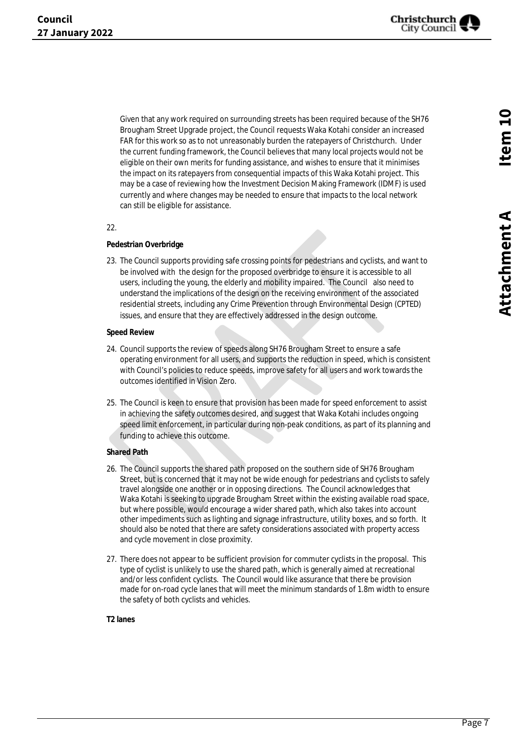Given that any work required on surrounding streets has been required because of the SH76 Brougham Street Upgrade project, the Council requests Waka Kotahi consider an increased FAR for this work so as to not unreasonably burden the ratepayers of Christchurch. Under the current funding framework, the Council believes that many local projects would not be eligible on their own merits for funding assistance, and wishes to ensure that it minimises the impact on its ratepayers from consequential impacts of this Waka Kotahi project. This may be a case of reviewing how the Investment Decision Making Framework (IDMF) is used currently and where changes may be needed to ensure that impacts to the local network can still be eligible for assistance.

#### 22.

#### **Pedestrian Overbridge**

23. The Council supports providing safe crossing points for pedestrians and cyclists, and want to be involved with the design for the proposed overbridge to ensure it is accessible to all users, including the young, the elderly and mobility impaired. The Council also need to understand the implications of the design on the receiving environment of the associated residential streets, including any Crime Prevention through Environmental Design (CPTED) issues, and ensure that they are effectively addressed in the design outcome.

#### **Speed Review**

- 24. Council supports the review of speeds along SH76 Brougham Street to ensure a safe operating environment for all users, and supports the reduction in speed, which is consistent with Council's policies to reduce speeds, improve safety for all users and work towards the outcomes identified in Vision Zero.
- 25. The Council is keen to ensure that provision has been made for speed enforcement to assist in achieving the safety outcomes desired, and suggest that Waka Kotahi includes ongoing speed limit enforcement, in particular during non-peak conditions, as part of its planning and funding to achieve this outcome.

### **Shared Path**

- 26. The Council supports the shared path proposed on the southern side of SH76 Brougham Street, but is concerned that it may not be wide enough for pedestrians and cyclists to safely travel alongside one another or in opposing directions. The Council acknowledges that Waka Kotahi is seeking to upgrade Brougham Street within the existing available road space, but where possible, would encourage a wider shared path, which also takes into account other impediments such as lighting and signage infrastructure, utility boxes, and so forth. It should also be noted that there are safety considerations associated with property access and cycle movement in close proximity.
- 27. There does not appear to be sufficient provision for commuter cyclists in the proposal. This type of cyclist is unlikely to use the shared path, which is generally aimed at recreational and/or less confident cyclists. The Council would like assurance that there be provision made for on-road cycle lanes that will meet the minimum standards of 1.8m width to ensure the safety of both cyclists and vehicles.

**T2 lanes**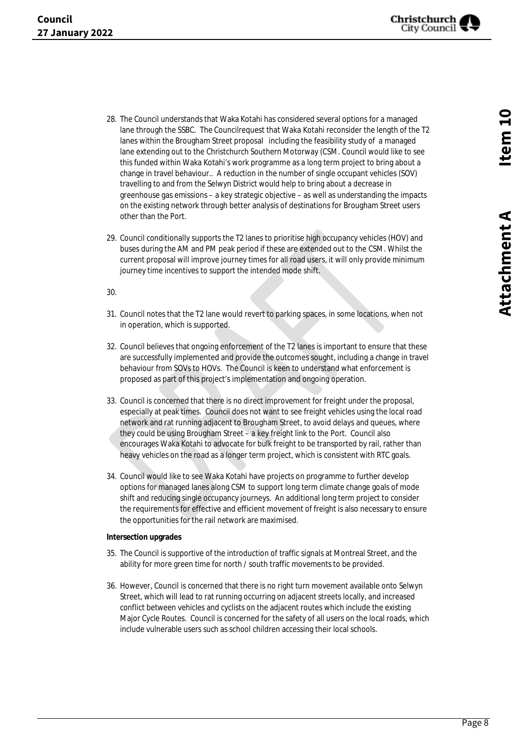- 28. The Council understands that Waka Kotahi has considered several options for a managed lane through the SSBC. The Councilrequest that Waka Kotahi reconsider the length of the T2 lanes within the Brougham Street proposal including the feasibility study of a managed lane extending out to the Christchurch Southern Motorway (CSM. Council would like to see this funded within Waka Kotahi's work programme as a long term project to bring about a change in travel behaviour.. A reduction in the number of single occupant vehicles (SOV) travelling to and from the Selwyn District would help to bring about a decrease in greenhouse gas emissions – a key strategic objective – as well as understanding the impacts on the existing network through better analysis of destinations for Brougham Street users other than the Port.
- 29. Council conditionally supports the T2 lanes to prioritise high occupancy vehicles (HOV) and buses during the AM and PM peak period if these are extended out to the CSM. Whilst the current proposal will improve journey times for all road users, it will only provide minimum journey time incentives to support the intended mode shift.

30.

- 31. Council notes that the T2 lane would revert to parking spaces, in some locations, when not in operation, which is supported.
- 32. Council believes that ongoing enforcement of the T2 lanes is important to ensure that these are successfully implemented and provide the outcomes sought, including a change in travel behaviour from SOVs to HOVs. The Council is keen to understand what enforcement is proposed as part of this project's implementation and ongoing operation.
- 33. Council is concerned that there is no direct improvement for freight under the proposal, especially at peak times. Council does not want to see freight vehicles using the local road network and rat running adjacent to Brougham Street, to avoid delays and queues, where they could be using Brougham Street – a key freight link to the Port. Council also encourages Waka Kotahi to advocate for bulk freight to be transported by rail, rather than heavy vehicles on the road as a longer term project, which is consistent with RTC goals.
- 34. Council would like to see Waka Kotahi have projects on programme to further develop options for managed lanes along CSM to support long term climate change goals of mode shift and reducing single occupancy journeys. An additional long term project to consider the requirements for effective and efficient movement of freight is also necessary to ensure the opportunities for the rail network are maximised.

**Intersection upgrades**

- 35. The Council is supportive of the introduction of traffic signals at Montreal Street, and the ability for more green time for north / south traffic movements to be provided.
- 36. However, Council is concerned that there is no right turn movement available onto Selwyn Street, which will lead to rat running occurring on adjacent streets locally, and increased conflict between vehicles and cyclists on the adjacent routes which include the existing Major Cycle Routes. Council is concerned for the safety of all users on the local roads, which include vulnerable users such as school children accessing their local schools.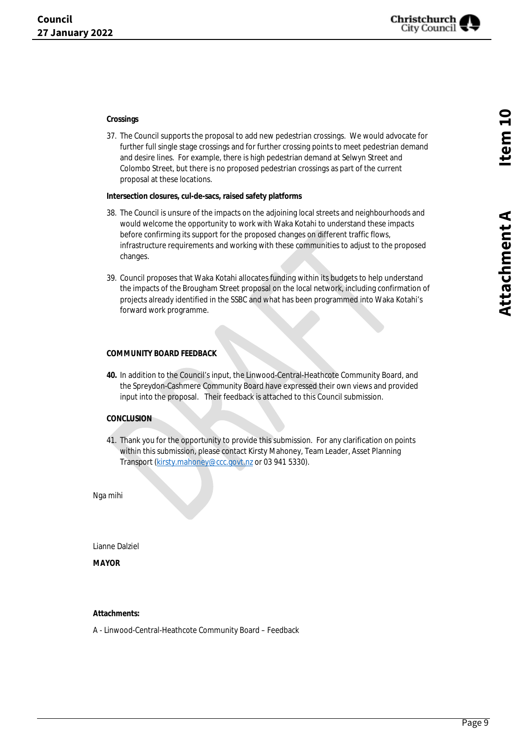**Crossings**

37. The Council supports the proposal to add new pedestrian crossings. We would advocate for further full single stage crossings and for further crossing points to meet pedestrian demand and desire lines. For example, there is high pedestrian demand at Selwyn Street and Colombo Street, but there is no proposed pedestrian crossings as part of the current proposal at these locations.

**Intersection closures, cul-de-sacs, raised safety platforms**

- 38. The Council is unsure of the impacts on the adjoining local streets and neighbourhoods and would welcome the opportunity to work with Waka Kotahi to understand these impacts before confirming its support for the proposed changes on different traffic flows, infrastructure requirements and working with these communities to adjust to the proposed changes.
- 39. Council proposes that Waka Kotahi allocates funding within its budgets to help understand the impacts of the Brougham Street proposal on the local network, including confirmation of projects already identified in the SSBC and what has been programmed into Waka Kotahi's forward work programme.

#### **COMMUNITY BOARD FEEDBACK**

**40.** In addition to the Council's input, the Linwood-Central-Heathcote Community Board, and the Spreydon-Cashmere Community Board have expressed their own views and provided input into the proposal. Their feedback is attached to this Council submission.

#### **CONCLUSION**

41. Thank you for the opportunity to provide this submission. For any clarification on points within this submission, please contact Kirsty Mahoney, Team Leader, Asset Planning Transport (kirsty.mahoney@ccc.govt.nz or 03 941 5330).

Nga mihi

Lianne Dalziel

**MAYOR**

**Attachments:**

A - Linwood-Central-Heathcote Community Board – Feedback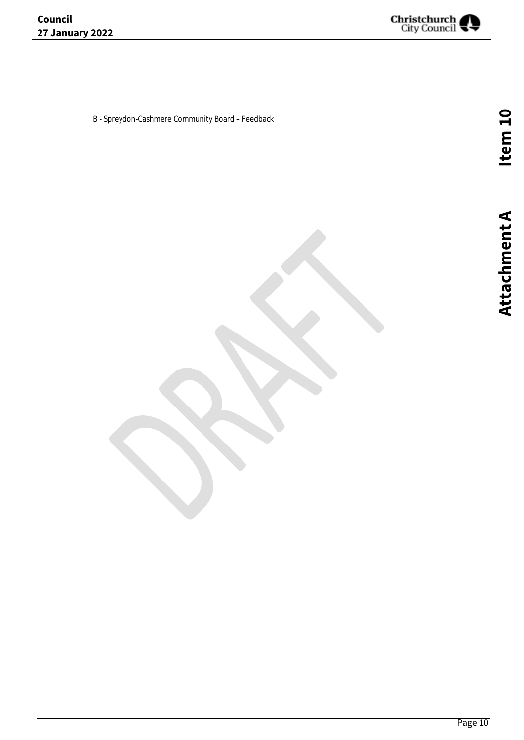B - Spreydon-Cashmere Community Board – Feedback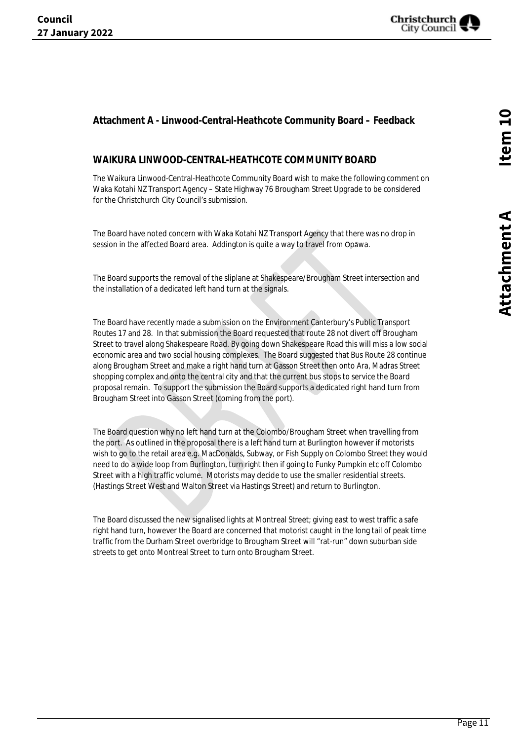# **Attachment A - Linwood-Central-Heathcote Community Board – Feedback**

## **WAIKURA LINWOOD-CENTRAL-HEATHCOTE COMMUNITY BOARD**

The Waikura Linwood-Central-Heathcote Community Board wish to make the following comment on Waka Kotahi NZ Transport Agency – State Highway 76 Brougham Street Upgrade to be considered for the Christchurch City Council's submission.

The Board have noted concern with Waka Kotahi NZ Transport Agency that there was no drop in session in the affected Board area. Addington is quite a way to travel from Ō p āwa.

The Board supports the removal of the sliplane at Shakespeare/Brougham Street intersection and the installation of a dedicated left hand turn at the signals.

The Board have recently made a submission on the Environment Canterbury's Public Transport Routes 17 and 28. In that submission the Board requested that route 28 not divert off Brougham Street to travel along Shakespeare Road. By going down Shakespeare Road this will miss a low social economic area and two social housing complexes. The Board suggested that Bus Route 28 continue along Brougham Street and make a right hand turn at Gasson Street then onto Ara, Madras Street shopping complex and onto the central city and that the current bus stops to service the Board proposal remain. To support the submission the Board supports a dedicated right hand turn from Brougham Street into Gasson Street (coming from the port).

The Board question why no left hand turn at the Colombo/Brougham Street when travelling from the port. As outlined in the proposal there is a left hand turn at Burlington however if motorists wish to go to the retail area e.g. MacDonalds, Subway, or Fish Supply on Colombo Street they would need to do a wide loop from Burlington, turn right then if going to Funky Pumpkin etc off Colombo Street with a high traffic volume. Motorists may decide to use the smaller residential streets. (Hastings Street West and Walton Street via Hastings Street) and return to Burlington.

The Board discussed the new signalised lights at Montreal Street; giving east to west traffic a safe right hand turn, however the Board are concerned that motorist caught in the long tail of peak time traffic from the Durham Street overbridge to Brougham Street will "rat-run" down suburban side streets to get onto Montreal Street to turn onto Brougham Street.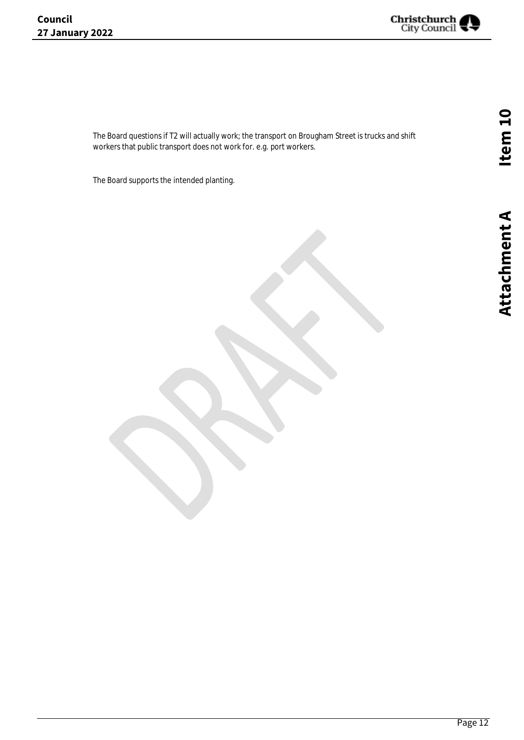The Board questions if T2 will actually work; the transport on Brougham Street is trucks and shift workers that public transport does not work for. e.g. port workers.

The Board supports the intended planting.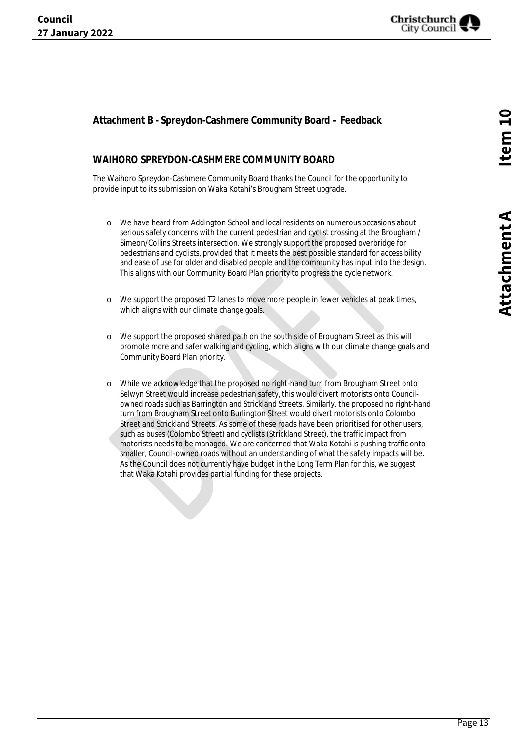# **Attachment B - Spreydon-Cashmere Community Board – Feedback**

# **WAIHORO SPREYDON-CASHMERE COMMUNITY BOARD**

The Waihoro Spreydon-Cashmere Community Board thanks the Council for the opportunity to provide input to its submission on Waka Kotahi's Brougham Street upgrade.

- o We have heard from Addington School and local residents on numerous occasions about serious safety concerns with the current pedestrian and cyclist crossing at the Brougham / Simeon/Collins Streets intersection. We strongly support the proposed overbridge for pedestrians and cyclists, provided that it meets the best possible standard for accessibility and ease of use for older and disabled people and the community has input into the design. This aligns with our Community Board Plan priority to progress the cycle network.
- o We support the proposed T2 lanes to move more people in fewer vehicles at peak times, which aligns with our climate change goals.
- o We support the proposed shared path on the south side of Brougham Street as this will promote more and safer walking and cycling, which aligns with our climate change goals and Community Board Plan priority.
- o While we acknowledge that the proposed no right-hand turn from Brougham Street onto Selwyn Street would increase pedestrian safety, this would divert motorists onto Councilowned roads such as Barrington and Strickland Streets. Similarly, the proposed no right-hand turn from Brougham Street onto Burlington Street would divert motorists onto Colombo Street and Strickland Streets. As some of these roads have been prioritised for other users, such as buses (Colombo Street) and cyclists (Strickland Street), the traffic impact from motorists needs to be managed. We are concerned that Waka Kotahi is pushing traffic onto smaller, Council-owned roads without an understanding of what the safety impacts will be. As the Council does not currently have budget in the Long Term Plan for this, we suggest that Waka Kotahi provides partial funding for these projects.